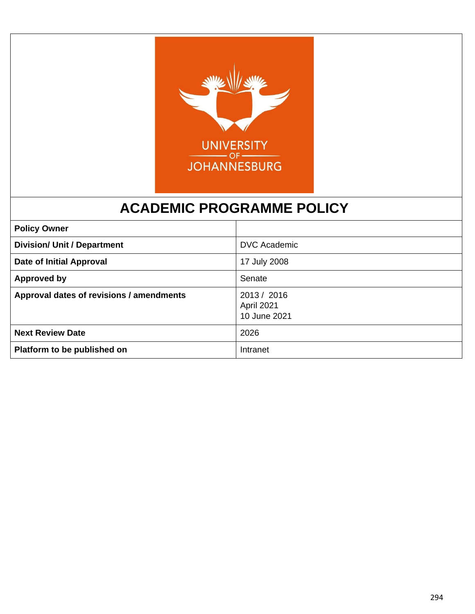

# **ACADEMIC PROGRAMME POLICY**

| <b>Policy Owner</b>                      |                                           |
|------------------------------------------|-------------------------------------------|
| <b>Division/ Unit / Department</b>       | <b>DVC Academic</b>                       |
| <b>Date of Initial Approval</b>          | 17 July 2008                              |
| <b>Approved by</b>                       | Senate                                    |
| Approval dates of revisions / amendments | 2013 / 2016<br>April 2021<br>10 June 2021 |
| <b>Next Review Date</b>                  | 2026                                      |
| Platform to be published on              | Intranet                                  |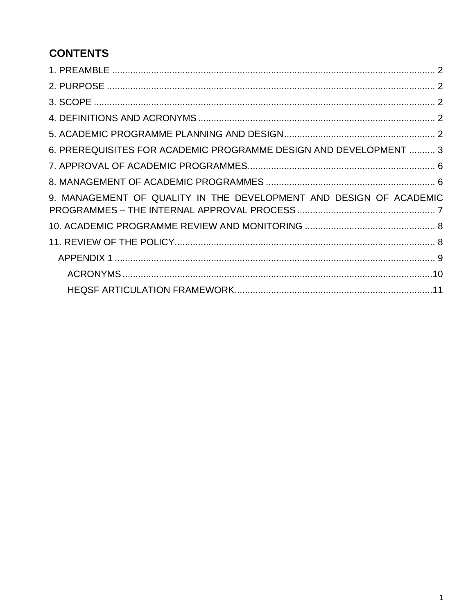# **CONTENTS**

| 6. PREREQUISITES FOR ACADEMIC PROGRAMME DESIGN AND DEVELOPMENT  3  |  |
|--------------------------------------------------------------------|--|
|                                                                    |  |
|                                                                    |  |
| 9. MANAGEMENT OF QUALITY IN THE DEVELOPMENT AND DESIGN OF ACADEMIC |  |
|                                                                    |  |
|                                                                    |  |
|                                                                    |  |
|                                                                    |  |
|                                                                    |  |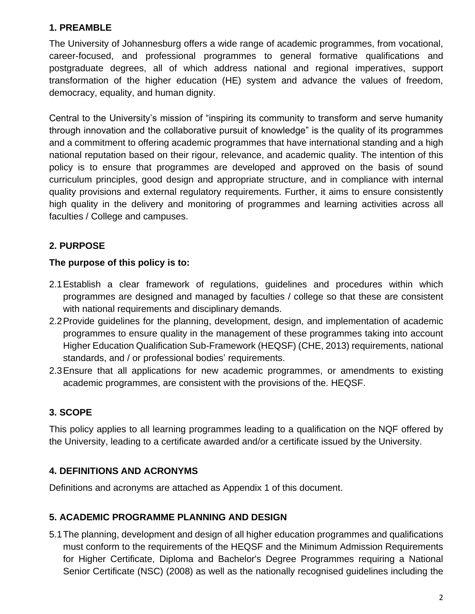## <span id="page-2-0"></span>**1. PREAMBLE**

The University of Johannesburg offers a wide range of academic programmes, from vocational, career-focused, and professional programmes to general formative qualifications and postgraduate degrees, all of which address national and regional imperatives, support transformation of the higher education (HE) system and advance the values of freedom, democracy, equality, and human dignity.

Central to the University's mission of "inspiring its community to transform and serve humanity through innovation and the collaborative pursuit of knowledge" is the quality of its programmes and a commitment to offering academic programmes that have international standing and a high national reputation based on their rigour, relevance, and academic quality. The intention of this policy is to ensure that programmes are developed and approved on the basis of sound curriculum principles, good design and appropriate structure, and in compliance with internal quality provisions and external regulatory requirements. Further, it aims to ensure consistently high quality in the delivery and monitoring of programmes and learning activities across all faculties / College and campuses.

## <span id="page-2-1"></span>**2. PURPOSE**

### **The purpose of this policy is to:**

- 2.1Establish a clear framework of regulations, guidelines and procedures within which programmes are designed and managed by faculties / college so that these are consistent with national requirements and disciplinary demands.
- 2.2Provide guidelines for the planning, development, design, and implementation of academic programmes to ensure quality in the management of these programmes taking into account Higher Education Qualification Sub-Framework (HEQSF) (CHE, 2013) requirements, national standards, and / or professional bodies' requirements.
- 2.3Ensure that all applications for new academic programmes, or amendments to existing academic programmes, are consistent with the provisions of the. HEQSF.

## <span id="page-2-2"></span>**3. SCOPE**

This policy applies to all learning programmes leading to a qualification on the NQF offered by the University, leading to a certificate awarded and/or a certificate issued by the University.

### <span id="page-2-3"></span>**4. DEFINITIONS AND ACRONYMS**

Definitions and acronyms are attached as Appendix 1 of this document.

### <span id="page-2-4"></span>**5. ACADEMIC PROGRAMME PLANNING AND DESIGN**

5.1The planning, development and design of all higher education programmes and qualifications must conform to the requirements of the HEQSF and the Minimum Admission Requirements for Higher Certificate, Diploma and Bachelor's Degree Programmes requiring a National Senior Certificate (NSC) (2008) as well as the nationally recognised guidelines including the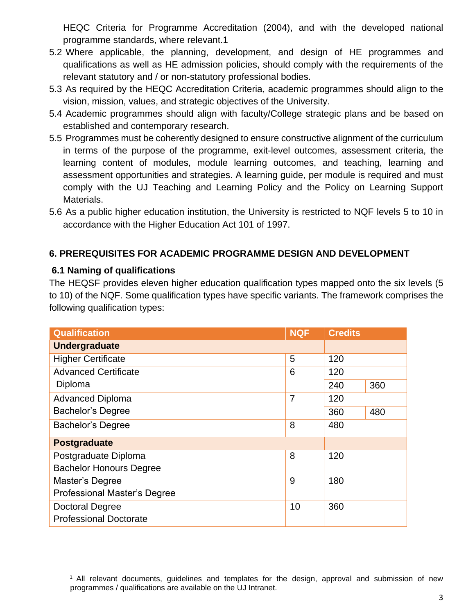HEQC Criteria for Programme Accreditation (2004), and with the developed national programme standards, where relevant.1

- 5.2 Where applicable, the planning, development, and design of HE programmes and qualifications as well as HE admission policies, should comply with the requirements of the relevant statutory and / or non-statutory professional bodies.
- 5.3 As required by the HEQC Accreditation Criteria, academic programmes should align to the vision, mission, values, and strategic objectives of the University.
- 5.4 Academic programmes should align with faculty/College strategic plans and be based on established and contemporary research.
- 5.5 Programmes must be coherently designed to ensure constructive alignment of the curriculum in terms of the purpose of the programme, exit-level outcomes, assessment criteria, the learning content of modules, module learning outcomes, and teaching, learning and assessment opportunities and strategies. A learning guide, per module is required and must comply with the UJ Teaching and Learning Policy and the Policy on Learning Support Materials.
- 5.6 As a public higher education institution, the University is restricted to NQF levels 5 to 10 in accordance with the Higher Education Act 101 of 1997.

#### <span id="page-3-0"></span>**6. PREREQUISITES FOR ACADEMIC PROGRAMME DESIGN AND DEVELOPMENT**

#### **6.1 Naming of qualifications**

The HEQSF provides eleven higher education qualification types mapped onto the six levels (5 to 10) of the NQF. Some qualification types have specific variants. The framework comprises the following qualification types:

| <b>Qualification</b>                | <b>NQF</b>     | <b>Credits</b> |     |
|-------------------------------------|----------------|----------------|-----|
| <b>Undergraduate</b>                |                |                |     |
| <b>Higher Certificate</b>           | 5              | 120            |     |
| <b>Advanced Certificate</b>         | 6              | 120            |     |
| Diploma                             |                | 240            | 360 |
| <b>Advanced Diploma</b>             | $\overline{7}$ | 120            |     |
| <b>Bachelor's Degree</b>            |                | 360            | 480 |
| <b>Bachelor's Degree</b>            | 8              | 480            |     |
| <b>Postgraduate</b>                 |                |                |     |
| Postgraduate Diploma                | 8              | 120            |     |
| <b>Bachelor Honours Degree</b>      |                |                |     |
| Master's Degree                     | 9              | 180            |     |
| <b>Professional Master's Degree</b> |                |                |     |
| <b>Doctoral Degree</b>              | 10             | 360            |     |
| <b>Professional Doctorate</b>       |                |                |     |

 $1$  All relevant documents, guidelines and templates for the design, approval and submission of new programmes / qualifications are available on the UJ Intranet.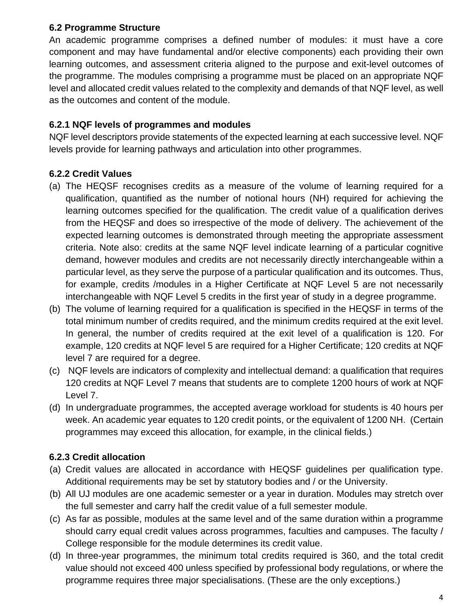#### **6.2 Programme Structure**

An academic programme comprises a defined number of modules: it must have a core component and may have fundamental and/or elective components) each providing their own learning outcomes, and assessment criteria aligned to the purpose and exit-level outcomes of the programme. The modules comprising a programme must be placed on an appropriate NQF level and allocated credit values related to the complexity and demands of that NQF level, as well as the outcomes and content of the module.

#### **6.2.1 NQF levels of programmes and modules**

NQF level descriptors provide statements of the expected learning at each successive level. NQF levels provide for learning pathways and articulation into other programmes.

#### **6.2.2 Credit Values**

- (a) The HEQSF recognises credits as a measure of the volume of learning required for a qualification, quantified as the number of notional hours (NH) required for achieving the learning outcomes specified for the qualification. The credit value of a qualification derives from the HEQSF and does so irrespective of the mode of delivery. The achievement of the expected learning outcomes is demonstrated through meeting the appropriate assessment criteria. Note also: credits at the same NQF level indicate learning of a particular cognitive demand, however modules and credits are not necessarily directly interchangeable within a particular level, as they serve the purpose of a particular qualification and its outcomes. Thus, for example, credits /modules in a Higher Certificate at NQF Level 5 are not necessarily interchangeable with NQF Level 5 credits in the first year of study in a degree programme.
- (b) The volume of learning required for a qualification is specified in the HEQSF in terms of the total minimum number of credits required, and the minimum credits required at the exit level. In general, the number of credits required at the exit level of a qualification is 120. For example, 120 credits at NQF level 5 are required for a Higher Certificate; 120 credits at NQF level 7 are required for a degree.
- (c) NQF levels are indicators of complexity and intellectual demand: a qualification that requires 120 credits at NQF Level 7 means that students are to complete 1200 hours of work at NQF Level 7.
- (d) In undergraduate programmes, the accepted average workload for students is 40 hours per week. An academic year equates to 120 credit points, or the equivalent of 1200 NH. (Certain programmes may exceed this allocation, for example, in the clinical fields.)

### **6.2.3 Credit allocation**

- (a) Credit values are allocated in accordance with HEQSF guidelines per qualification type. Additional requirements may be set by statutory bodies and / or the University.
- (b) All UJ modules are one academic semester or a year in duration. Modules may stretch over the full semester and carry half the credit value of a full semester module.
- (c) As far as possible, modules at the same level and of the same duration within a programme should carry equal credit values across programmes, faculties and campuses. The faculty / College responsible for the module determines its credit value.
- (d) In three-year programmes, the minimum total credits required is 360, and the total credit value should not exceed 400 unless specified by professional body regulations, or where the programme requires three major specialisations. (These are the only exceptions.)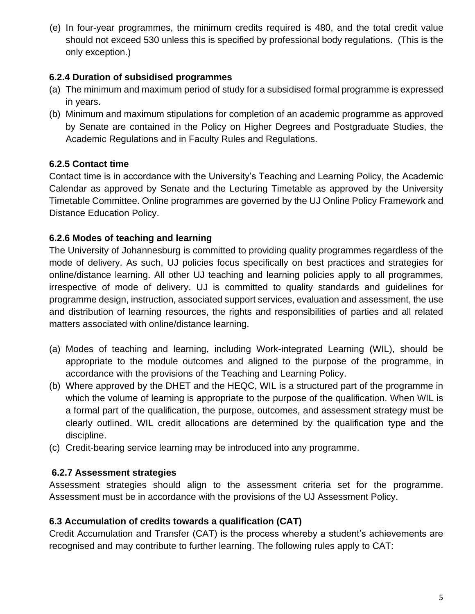(e) In four-year programmes, the minimum credits required is 480, and the total credit value should not exceed 530 unless this is specified by professional body regulations. (This is the only exception.)

### **6.2.4 Duration of subsidised programmes**

- (a) The minimum and maximum period of study for a subsidised formal programme is expressed in years.
- (b) Minimum and maximum stipulations for completion of an academic programme as approved by Senate are contained in the Policy on Higher Degrees and Postgraduate Studies, the Academic Regulations and in Faculty Rules and Regulations.

## **6.2.5 Contact time**

Contact time is in accordance with the University's Teaching and Learning Policy, the Academic Calendar as approved by Senate and the Lecturing Timetable as approved by the University Timetable Committee. Online programmes are governed by the UJ Online Policy Framework and Distance Education Policy.

## **6.2.6 Modes of teaching and learning**

The University of Johannesburg is committed to providing quality programmes regardless of the mode of delivery. As such, UJ policies focus specifically on best practices and strategies for online/distance learning. All other UJ teaching and learning policies apply to all programmes, irrespective of mode of delivery. UJ is committed to quality standards and guidelines for programme design, instruction, associated support services, evaluation and assessment, the use and distribution of learning resources, the rights and responsibilities of parties and all related matters associated with online/distance learning.

- (a) Modes of teaching and learning, including Work-integrated Learning (WIL), should be appropriate to the module outcomes and aligned to the purpose of the programme, in accordance with the provisions of the Teaching and Learning Policy.
- (b) Where approved by the DHET and the HEQC, WIL is a structured part of the programme in which the volume of learning is appropriate to the purpose of the qualification. When WIL is a formal part of the qualification, the purpose, outcomes, and assessment strategy must be clearly outlined. WIL credit allocations are determined by the qualification type and the discipline.
- (c) Credit-bearing service learning may be introduced into any programme.

## **6.2.7 Assessment strategies**

Assessment strategies should align to the assessment criteria set for the programme. Assessment must be in accordance with the provisions of the UJ Assessment Policy.

## **6.3 Accumulation of credits towards a qualification (CAT)**

Credit Accumulation and Transfer (CAT) is the process whereby a student's achievements are recognised and may contribute to further learning. The following rules apply to CAT: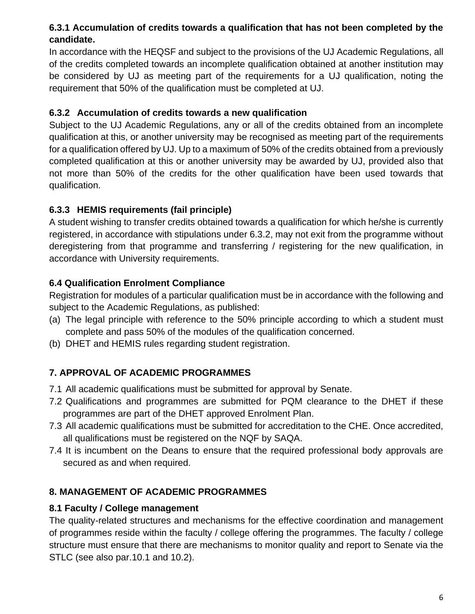## **6.3.1 Accumulation of credits towards a qualification that has not been completed by the candidate.**

In accordance with the HEQSF and subject to the provisions of the UJ Academic Regulations, all of the credits completed towards an incomplete qualification obtained at another institution may be considered by UJ as meeting part of the requirements for a UJ qualification, noting the requirement that 50% of the qualification must be completed at UJ.

### **6.3.2 Accumulation of credits towards a new qualification**

Subject to the UJ Academic Regulations, any or all of the credits obtained from an incomplete qualification at this, or another university may be recognised as meeting part of the requirements for a qualification offered by UJ. Up to a maximum of 50% of the credits obtained from a previously completed qualification at this or another university may be awarded by UJ, provided also that not more than 50% of the credits for the other qualification have been used towards that qualification.

## **6.3.3 HEMIS requirements (fail principle)**

A student wishing to transfer credits obtained towards a qualification for which he/she is currently registered, in accordance with stipulations under 6.3.2, may not exit from the programme without deregistering from that programme and transferring / registering for the new qualification, in accordance with University requirements.

## **6.4 Qualification Enrolment Compliance**

Registration for modules of a particular qualification must be in accordance with the following and subject to the Academic Regulations, as published:

- (a) The legal principle with reference to the 50% principle according to which a student must complete and pass 50% of the modules of the qualification concerned.
- (b) DHET and HEMIS rules regarding student registration.

## <span id="page-6-0"></span>**7. APPROVAL OF ACADEMIC PROGRAMMES**

- 7.1 All academic qualifications must be submitted for approval by Senate.
- 7.2 Qualifications and programmes are submitted for PQM clearance to the DHET if these programmes are part of the DHET approved Enrolment Plan.
- 7.3 All academic qualifications must be submitted for accreditation to the CHE. Once accredited, all qualifications must be registered on the NQF by SAQA.
- 7.4 It is incumbent on the Deans to ensure that the required professional body approvals are secured as and when required.

## <span id="page-6-1"></span>**8. MANAGEMENT OF ACADEMIC PROGRAMMES**

## **8.1 Faculty / College management**

The quality-related structures and mechanisms for the effective coordination and management of programmes reside within the faculty / college offering the programmes. The faculty / college structure must ensure that there are mechanisms to monitor quality and report to Senate via the STLC (see also par.10.1 and 10.2).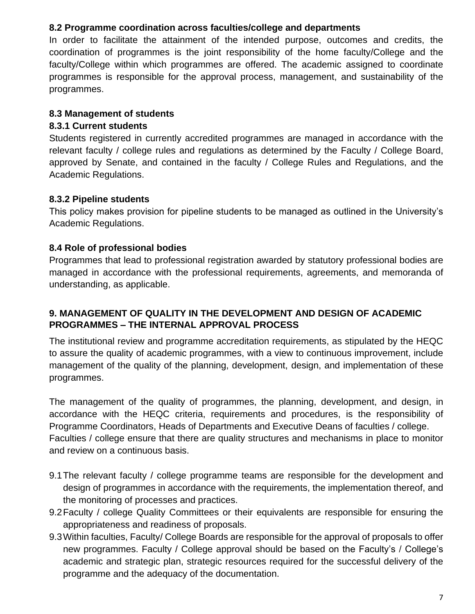#### **8.2 Programme coordination across faculties/college and departments**

In order to facilitate the attainment of the intended purpose, outcomes and credits, the coordination of programmes is the joint responsibility of the home faculty/College and the faculty/College within which programmes are offered. The academic assigned to coordinate programmes is responsible for the approval process, management, and sustainability of the programmes.

#### **8.3 Management of students**

#### **8.3.1 Current students**

Students registered in currently accredited programmes are managed in accordance with the relevant faculty / college rules and regulations as determined by the Faculty / College Board, approved by Senate, and contained in the faculty / College Rules and Regulations, and the Academic Regulations.

#### **8.3.2 Pipeline students**

This policy makes provision for pipeline students to be managed as outlined in the University's Academic Regulations.

#### **8.4 Role of professional bodies**

Programmes that lead to professional registration awarded by statutory professional bodies are managed in accordance with the professional requirements, agreements, and memoranda of understanding, as applicable.

#### <span id="page-7-0"></span>**9. MANAGEMENT OF QUALITY IN THE DEVELOPMENT AND DESIGN OF ACADEMIC PROGRAMMES – THE INTERNAL APPROVAL PROCESS**

The institutional review and programme accreditation requirements, as stipulated by the HEQC to assure the quality of academic programmes, with a view to continuous improvement, include management of the quality of the planning, development, design, and implementation of these programmes.

The management of the quality of programmes, the planning, development, and design, in accordance with the HEQC criteria, requirements and procedures, is the responsibility of Programme Coordinators, Heads of Departments and Executive Deans of faculties / college. Faculties / college ensure that there are quality structures and mechanisms in place to monitor and review on a continuous basis.

- 9.1The relevant faculty / college programme teams are responsible for the development and design of programmes in accordance with the requirements, the implementation thereof, and the monitoring of processes and practices.
- 9.2Faculty / college Quality Committees or their equivalents are responsible for ensuring the appropriateness and readiness of proposals.
- 9.3Within faculties, Faculty/ College Boards are responsible for the approval of proposals to offer new programmes. Faculty / College approval should be based on the Faculty's / College's academic and strategic plan, strategic resources required for the successful delivery of the programme and the adequacy of the documentation.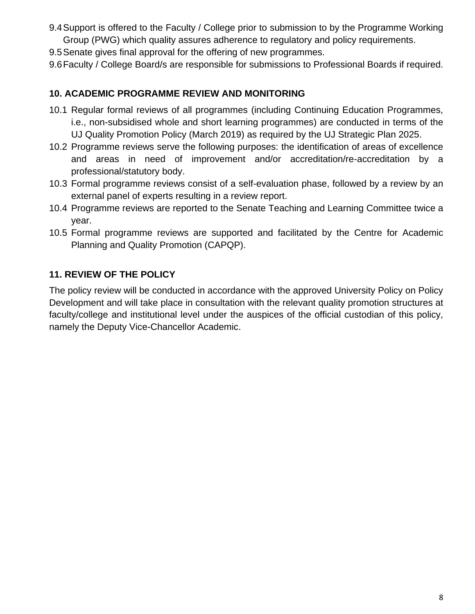- 9.4Support is offered to the Faculty / College prior to submission to by the Programme Working Group (PWG) which quality assures adherence to regulatory and policy requirements.
- 9.5Senate gives final approval for the offering of new programmes.
- 9.6Faculty / College Board/s are responsible for submissions to Professional Boards if required.

#### <span id="page-8-0"></span>**10. ACADEMIC PROGRAMME REVIEW AND MONITORING**

- 10.1 Regular formal reviews of all programmes (including Continuing Education Programmes, i.e., non-subsidised whole and short learning programmes) are conducted in terms of the UJ Quality Promotion Policy (March 2019) as required by the UJ Strategic Plan 2025.
- 10.2 Programme reviews serve the following purposes: the identification of areas of excellence and areas in need of improvement and/or accreditation/re-accreditation by a professional/statutory body.
- 10.3 Formal programme reviews consist of a self-evaluation phase, followed by a review by an external panel of experts resulting in a review report.
- 10.4 Programme reviews are reported to the Senate Teaching and Learning Committee twice a year.
- 10.5 Formal programme reviews are supported and facilitated by the Centre for Academic Planning and Quality Promotion (CAPQP).

#### <span id="page-8-1"></span>**11. REVIEW OF THE POLICY**

The policy review will be conducted in accordance with the approved University Policy on Policy Development and will take place in consultation with the relevant quality promotion structures at faculty/college and institutional level under the auspices of the official custodian of this policy, namely the Deputy Vice-Chancellor Academic.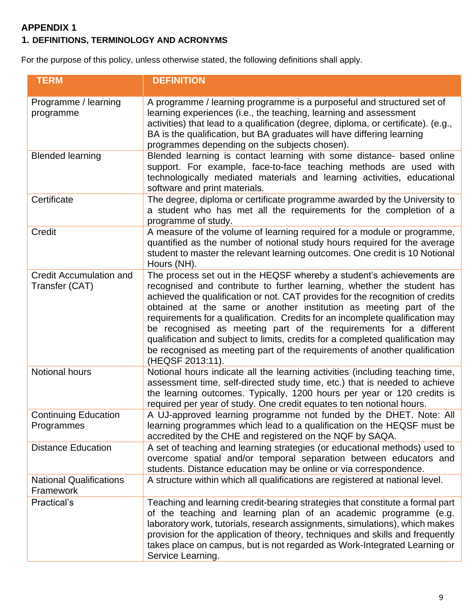## <span id="page-9-0"></span>**APPENDIX 1**

## **1. DEFINITIONS, TERMINOLOGY AND ACRONYMS**

For the purpose of this policy, unless otherwise stated, the following definitions shall apply.

| <b>TERM</b>                                      | <b>DEFINITION</b>                                                                                                                                                                                                                                                                                                                                                                                                                                                                                                                                                                                                                                 |
|--------------------------------------------------|---------------------------------------------------------------------------------------------------------------------------------------------------------------------------------------------------------------------------------------------------------------------------------------------------------------------------------------------------------------------------------------------------------------------------------------------------------------------------------------------------------------------------------------------------------------------------------------------------------------------------------------------------|
| Programme / learning<br>programme                | A programme / learning programme is a purposeful and structured set of<br>learning experiences (i.e., the teaching, learning and assessment<br>activities) that lead to a qualification (degree, diploma, or certificate). (e.g.,<br>BA is the qualification, but BA graduates will have differing learning<br>programmes depending on the subjects chosen).                                                                                                                                                                                                                                                                                      |
| <b>Blended learning</b>                          | Blended learning is contact learning with some distance- based online<br>support. For example, face-to-face teaching methods are used with<br>technologically mediated materials and learning activities, educational<br>software and print materials.                                                                                                                                                                                                                                                                                                                                                                                            |
| Certificate                                      | The degree, diploma or certificate programme awarded by the University to<br>a student who has met all the requirements for the completion of a<br>programme of study.                                                                                                                                                                                                                                                                                                                                                                                                                                                                            |
| Credit                                           | A measure of the volume of learning required for a module or programme,<br>quantified as the number of notional study hours required for the average<br>student to master the relevant learning outcomes. One credit is 10 Notional<br>Hours (NH).                                                                                                                                                                                                                                                                                                                                                                                                |
| <b>Credit Accumulation and</b><br>Transfer (CAT) | The process set out in the HEQSF whereby a student's achievements are<br>recognised and contribute to further learning, whether the student has<br>achieved the qualification or not. CAT provides for the recognition of credits<br>obtained at the same or another institution as meeting part of the<br>requirements for a qualification. Credits for an incomplete qualification may<br>be recognised as meeting part of the requirements for a different<br>qualification and subject to limits, credits for a completed qualification may<br>be recognised as meeting part of the requirements of another qualification<br>(HEQSF 2013:11). |
| <b>Notional hours</b>                            | Notional hours indicate all the learning activities (including teaching time,<br>assessment time, self-directed study time, etc.) that is needed to achieve<br>the learning outcomes. Typically, 1200 hours per year or 120 credits is<br>required per year of study. One credit equates to ten notional hours.                                                                                                                                                                                                                                                                                                                                   |
| <b>Continuing Education</b><br>Programmes        | A UJ-approved learning programme not funded by the DHET. Note: All<br>learning programmes which lead to a qualification on the HEQSF must be<br>accredited by the CHE and registered on the NQF by SAQA.                                                                                                                                                                                                                                                                                                                                                                                                                                          |
| <b>Distance Education</b>                        | A set of teaching and learning strategies (or educational methods) used to<br>overcome spatial and/or temporal separation between educators and<br>students. Distance education may be online or via correspondence.                                                                                                                                                                                                                                                                                                                                                                                                                              |
| <b>National Qualifications</b><br>Framework      | A structure within which all qualifications are registered at national level.                                                                                                                                                                                                                                                                                                                                                                                                                                                                                                                                                                     |
| Practical's                                      | Teaching and learning credit-bearing strategies that constitute a formal part<br>of the teaching and learning plan of an academic programme (e.g.<br>laboratory work, tutorials, research assignments, simulations), which makes<br>provision for the application of theory, techniques and skills and frequently<br>takes place on campus, but is not regarded as Work-Integrated Learning or<br>Service Learning.                                                                                                                                                                                                                               |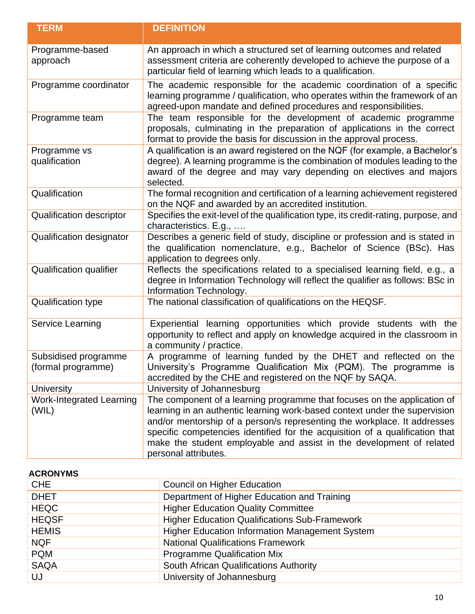| <b>TERM</b>                                | <b>DEFINITION</b>                                                                                                                                                                                                                                                                                                                                                                                                  |
|--------------------------------------------|--------------------------------------------------------------------------------------------------------------------------------------------------------------------------------------------------------------------------------------------------------------------------------------------------------------------------------------------------------------------------------------------------------------------|
| Programme-based<br>approach                | An approach in which a structured set of learning outcomes and related<br>assessment criteria are coherently developed to achieve the purpose of a<br>particular field of learning which leads to a qualification.                                                                                                                                                                                                 |
| Programme coordinator                      | The academic responsible for the academic coordination of a specific<br>learning programme / qualification, who operates within the framework of an<br>agreed-upon mandate and defined procedures and responsibilities.                                                                                                                                                                                            |
| Programme team                             | The team responsible for the development of academic programme<br>proposals, culminating in the preparation of applications in the correct<br>format to provide the basis for discussion in the approval process.                                                                                                                                                                                                  |
| Programme vs<br>qualification              | A qualification is an award registered on the NQF (for example, a Bachelor's<br>degree). A learning programme is the combination of modules leading to the<br>award of the degree and may vary depending on electives and majors<br>selected.                                                                                                                                                                      |
| Qualification                              | The formal recognition and certification of a learning achievement registered<br>on the NQF and awarded by an accredited institution.                                                                                                                                                                                                                                                                              |
| <b>Qualification descriptor</b>            | Specifies the exit-level of the qualification type, its credit-rating, purpose, and<br>characteristics. E.g.,                                                                                                                                                                                                                                                                                                      |
| Qualification designator                   | Describes a generic field of study, discipline or profession and is stated in<br>the qualification nomenclature, e.g., Bachelor of Science (BSc). Has<br>application to degrees only.                                                                                                                                                                                                                              |
| <b>Qualification qualifier</b>             | Reflects the specifications related to a specialised learning field, e.g., a<br>degree in Information Technology will reflect the qualifier as follows: BSc in<br>Information Technology.                                                                                                                                                                                                                          |
| <b>Qualification type</b>                  | The national classification of qualifications on the HEQSF.                                                                                                                                                                                                                                                                                                                                                        |
| <b>Service Learning</b>                    | Experiential learning opportunities which provide students with the<br>opportunity to reflect and apply on knowledge acquired in the classroom in<br>a community / practice.                                                                                                                                                                                                                                       |
| Subsidised programme<br>(formal programme) | A programme of learning funded by the DHET and reflected on the<br>University's Programme Qualification Mix (PQM). The programme is<br>accredited by the CHE and registered on the NQF by SAQA.                                                                                                                                                                                                                    |
| <b>University</b>                          | University of Johannesburg                                                                                                                                                                                                                                                                                                                                                                                         |
| <b>Work-Integrated Learning</b><br>(WIL)   | The component of a learning programme that focuses on the application of<br>learning in an authentic learning work-based context under the supervision<br>and/or mentorship of a person/s representing the workplace. It addresses<br>specific competencies identified for the acquisition of a qualification that<br>make the student employable and assist in the development of related<br>personal attributes. |

<span id="page-10-0"></span>

| <b>ACRONYMS</b> |                                                       |
|-----------------|-------------------------------------------------------|
| <b>CHE</b>      | Council on Higher Education                           |
| <b>DHET</b>     | Department of Higher Education and Training           |
| <b>HEQC</b>     | <b>Higher Education Quality Committee</b>             |
| <b>HEQSF</b>    | <b>Higher Education Qualifications Sub-Framework</b>  |
| <b>HEMIS</b>    | <b>Higher Education Information Management System</b> |
| <b>NQF</b>      | <b>National Qualifications Framework</b>              |
| <b>PQM</b>      | <b>Programme Qualification Mix</b>                    |
| <b>SAQA</b>     | South African Qualifications Authority                |
| UJ              | University of Johannesburg                            |